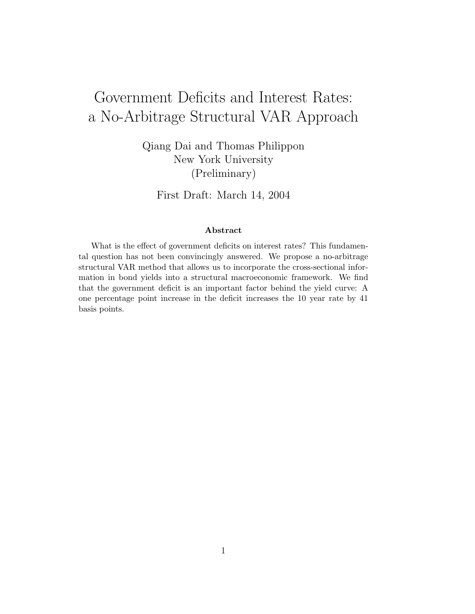# Government Deficits and Interest Rates: a No-Arbitrage Structural VAR Approach

Qiang Dai and Thomas Philippon New York University (Preliminary)

First Draft: March 14, 2004

#### Abstract

What is the effect of government deficits on interest rates? This fundamental question has not been convincingly answered. We propose a no-arbitrage structural VAR method that allows us to incorporate the cross-sectional information in bond yields into a structural macroeconomic framework. We find that the government deficit is an important factor behind the yield curve: A one percentage point increase in the deficit increases the 10 year rate by 41 basis points.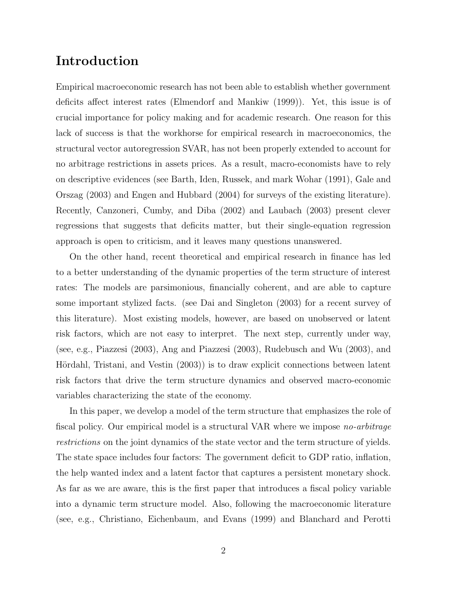### Introduction

Empirical macroeconomic research has not been able to establish whether government deficits affect interest rates (Elmendorf and Mankiw (1999)). Yet, this issue is of crucial importance for policy making and for academic research. One reason for this lack of success is that the workhorse for empirical research in macroeconomics, the structural vector autoregression SVAR, has not been properly extended to account for no arbitrage restrictions in assets prices. As a result, macro-economists have to rely on descriptive evidences (see Barth, Iden, Russek, and mark Wohar (1991), Gale and Orszag (2003) and Engen and Hubbard (2004) for surveys of the existing literature). Recently, Canzoneri, Cumby, and Diba (2002) and Laubach (2003) present clever regressions that suggests that deficits matter, but their single-equation regression approach is open to criticism, and it leaves many questions unanswered.

On the other hand, recent theoretical and empirical research in finance has led to a better understanding of the dynamic properties of the term structure of interest rates: The models are parsimonious, financially coherent, and are able to capture some important stylized facts. (see Dai and Singleton (2003) for a recent survey of this literature). Most existing models, however, are based on unobserved or latent risk factors, which are not easy to interpret. The next step, currently under way, (see, e.g., Piazzesi (2003), Ang and Piazzesi (2003), Rudebusch and Wu (2003), and Hördahl, Tristani, and Vestin (2003)) is to draw explicit connections between latent risk factors that drive the term structure dynamics and observed macro-economic variables characterizing the state of the economy.

In this paper, we develop a model of the term structure that emphasizes the role of fiscal policy. Our empirical model is a structural VAR where we impose no-arbitrage restrictions on the joint dynamics of the state vector and the term structure of yields. The state space includes four factors: The government deficit to GDP ratio, inflation, the help wanted index and a latent factor that captures a persistent monetary shock. As far as we are aware, this is the first paper that introduces a fiscal policy variable into a dynamic term structure model. Also, following the macroeconomic literature (see, e.g., Christiano, Eichenbaum, and Evans (1999) and Blanchard and Perotti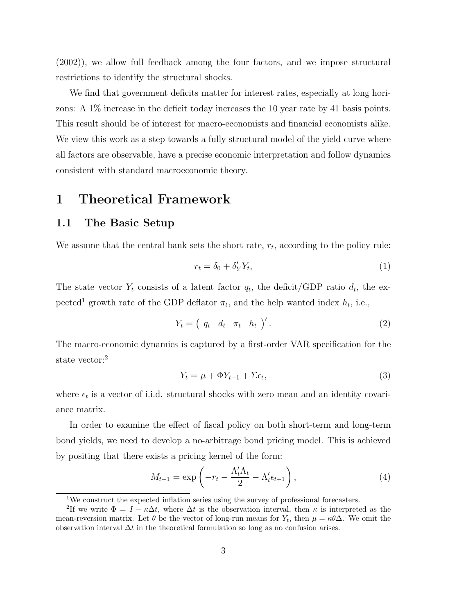(2002)), we allow full feedback among the four factors, and we impose structural restrictions to identify the structural shocks.

We find that government deficits matter for interest rates, especially at long horizons: A 1% increase in the deficit today increases the 10 year rate by 41 basis points. This result should be of interest for macro-economists and financial economists alike. We view this work as a step towards a fully structural model of the yield curve where all factors are observable, have a precise economic interpretation and follow dynamics consistent with standard macroeconomic theory.

### 1 Theoretical Framework

#### 1.1 The Basic Setup

We assume that the central bank sets the short rate,  $r_t$ , according to the policy rule:

$$
r_t = \delta_0 + \delta'_Y Y_t,\tag{1}
$$

The state vector  $Y_t$  consists of a latent factor  $q_t$ , the deficit/GDP ratio  $d_t$ , the expected<sup>1</sup> growth rate of the GDP deflator  $\pi_t$ , and the help wanted index  $h_t$ , i.e.,

$$
Y_t = \begin{pmatrix} q_t & d_t & \pi_t & h_t \end{pmatrix}'.
$$
 (2)

The macro-economic dynamics is captured by a first-order VAR specification for the state vector:<sup>2</sup>

$$
Y_t = \mu + \Phi Y_{t-1} + \Sigma \epsilon_t,\tag{3}
$$

where  $\epsilon_t$  is a vector of i.i.d. structural shocks with zero mean and an identity covariance matrix.

In order to examine the effect of fiscal policy on both short-term and long-term bond yields, we need to develop a no-arbitrage bond pricing model. This is achieved by positing that there exists a pricing kernel of the form:

$$
M_{t+1} = \exp\left(-r_t - \frac{\Lambda_t'\Lambda_t}{2} - \Lambda_t'\epsilon_{t+1}\right),\tag{4}
$$

<sup>1</sup>We construct the expected inflation series using the survey of professional forecasters.

<sup>&</sup>lt;sup>2</sup>If we write  $\Phi = I - \kappa \Delta t$ , where  $\Delta t$  is the observation interval, then  $\kappa$  is interpreted as the mean-reversion matrix. Let  $\theta$  be the vector of long-run means for  $Y_t$ , then  $\mu = \kappa \theta \Delta$ . We omit the observation interval  $\Delta t$  in the theoretical formulation so long as no confusion arises.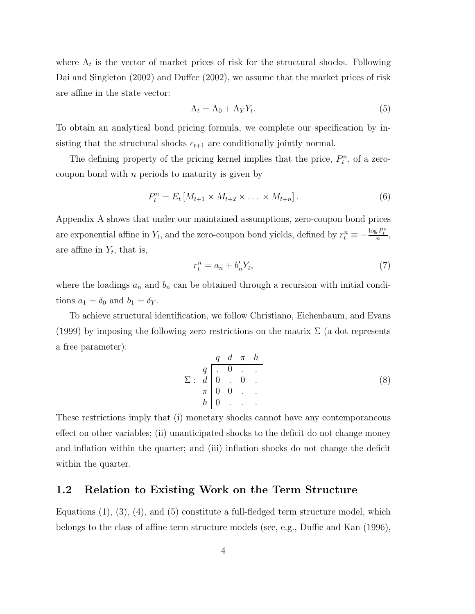where  $\Lambda_t$  is the vector of market prices of risk for the structural shocks. Following Dai and Singleton (2002) and Duffee (2002), we assume that the market prices of risk are affine in the state vector:

$$
\Lambda_t = \Lambda_0 + \Lambda_Y Y_t. \tag{5}
$$

To obtain an analytical bond pricing formula, we complete our specification by insisting that the structural shocks  $\epsilon_{t+1}$  are conditionally jointly normal.

The defining property of the pricing kernel implies that the price,  $P_t^n$ , of a zerocoupon bond with  $n$  periods to maturity is given by

$$
P_t^n = E_t \left[ M_{t+1} \times M_{t+2} \times \ldots \times M_{t+n} \right]. \tag{6}
$$

Appendix A shows that under our maintained assumptions, zero-coupon bond prices are exponential affine in  $Y_t$ , and the zero-coupon bond yields, defined by  $r_t^n \equiv -\frac{\log P_t^n}{n}$ , are affine in  $Y_t$ , that is,

$$
r_t^n = a_n + b'_n Y_t,\tag{7}
$$

where the loadings  $a_n$  and  $b_n$  can be obtained through a recursion with initial conditions  $a_1 = \delta_0$  and  $b_1 = \delta_Y$ .

To achieve structural identification, we follow Christiano, Eichenbaum, and Evans (1999) by imposing the following zero restrictions on the matrix  $\Sigma$  (a dot represents a free parameter):

$$
\Sigma: \begin{array}{c} q & d & \pi & h \\ \n\Omega & 0 & \cdot & \cdot \\ \n\pi & 0 & 0 & \cdot \\ \nh & 0 & \cdot & \cdot \n\end{array} \tag{8}
$$

These restrictions imply that (i) monetary shocks cannot have any contemporaneous effect on other variables; (ii) unanticipated shocks to the deficit do not change money and inflation within the quarter; and (iii) inflation shocks do not change the deficit within the quarter.

#### 1.2 Relation to Existing Work on the Term Structure

Equations  $(1)$ ,  $(3)$ ,  $(4)$ , and  $(5)$  constitute a full-fledged term structure model, which belongs to the class of affine term structure models (see, e.g., Duffie and Kan (1996),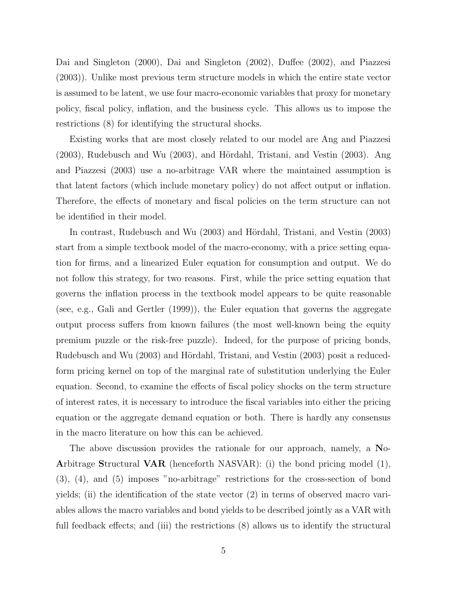Dai and Singleton (2000), Dai and Singleton (2002), Duffee (2002), and Piazzesi (2003)). Unlike most previous term structure models in which the entire state vector is assumed to be latent, we use four macro-economic variables that proxy for monetary policy, fiscal policy, inflation, and the business cycle. This allows us to impose the restrictions (8) for identifying the structural shocks.

Existing works that are most closely related to our model are Ang and Piazzesi  $(2003)$ , Rudebusch and Wu  $(2003)$ , and Hördahl, Tristani, and Vestin  $(2003)$ . Ang and Piazzesi (2003) use a no-arbitrage VAR where the maintained assumption is that latent factors (which include monetary policy) do not affect output or inflation. Therefore, the effects of monetary and fiscal policies on the term structure can not be identified in their model.

In contrast, Rudebusch and Wu (2003) and Hördahl, Tristani, and Vestin (2003) start from a simple textbook model of the macro-economy, with a price setting equation for firms, and a linearized Euler equation for consumption and output. We do not follow this strategy, for two reasons. First, while the price setting equation that governs the inflation process in the textbook model appears to be quite reasonable (see, e.g., Gali and Gertler (1999)), the Euler equation that governs the aggregate output process suffers from known failures (the most well-known being the equity premium puzzle or the risk-free puzzle). Indeed, for the purpose of pricing bonds, Rudebusch and Wu (2003) and Hördahl, Tristani, and Vestin (2003) posit a reducedform pricing kernel on top of the marginal rate of substitution underlying the Euler equation. Second, to examine the effects of fiscal policy shocks on the term structure of interest rates, it is necessary to introduce the fiscal variables into either the pricing equation or the aggregate demand equation or both. There is hardly any consensus in the macro literature on how this can be achieved.

The above discussion provides the rationale for our approach, namely, a No-Arbitrage Structural VAR (henceforth NASVAR): (i) the bond pricing model (1), (3), (4), and (5) imposes "no-arbitrage" restrictions for the cross-section of bond yields; (ii) the identification of the state vector (2) in terms of observed macro variables allows the macro variables and bond yields to be described jointly as a VAR with full feedback effects; and (iii) the restrictions (8) allows us to identify the structural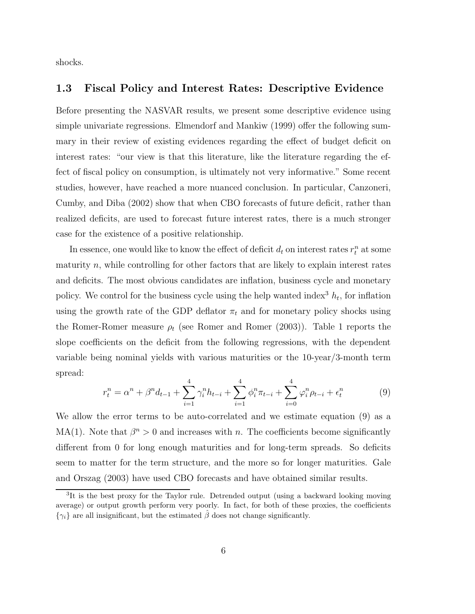shocks.

#### 1.3 Fiscal Policy and Interest Rates: Descriptive Evidence

Before presenting the NASVAR results, we present some descriptive evidence using simple univariate regressions. Elmendorf and Mankiw (1999) offer the following summary in their review of existing evidences regarding the effect of budget deficit on interest rates: "our view is that this literature, like the literature regarding the effect of fiscal policy on consumption, is ultimately not very informative." Some recent studies, however, have reached a more nuanced conclusion. In particular, Canzoneri, Cumby, and Diba (2002) show that when CBO forecasts of future deficit, rather than realized deficits, are used to forecast future interest rates, there is a much stronger case for the existence of a positive relationship.

In essence, one would like to know the effect of deficit  $d_t$  on interest rates  $r_t^n$  at some maturity  $n$ , while controlling for other factors that are likely to explain interest rates and deficits. The most obvious candidates are inflation, business cycle and monetary policy. We control for the business cycle using the help wanted index<sup>3</sup>  $h_t$ , for inflation using the growth rate of the GDP deflator  $\pi_t$  and for monetary policy shocks using the Romer-Romer measure  $\rho_t$  (see Romer and Romer (2003)). Table 1 reports the slope coefficients on the deficit from the following regressions, with the dependent variable being nominal yields with various maturities or the 10-year/3-month term spread:

$$
r_t^n = \alpha^n + \beta^n d_{t-1} + \sum_{i=1}^4 \gamma_i^n h_{t-i} + \sum_{i=1}^4 \phi_i^n \pi_{t-i} + \sum_{i=0}^4 \varphi_i^n \rho_{t-i} + \epsilon_t^n
$$
(9)

We allow the error terms to be auto-correlated and we estimate equation (9) as a MA(1). Note that  $\beta^{n} > 0$  and increases with n. The coefficients become significantly different from 0 for long enough maturities and for long-term spreads. So deficits seem to matter for the term structure, and the more so for longer maturities. Gale and Orszag (2003) have used CBO forecasts and have obtained similar results.

<sup>&</sup>lt;sup>3</sup>It is the best proxy for the Taylor rule. Detrended output (using a backward looking moving average) or output growth perform very poorly. In fact, for both of these proxies, the coefficients  $\{\gamma_i\}$  are all insignificant, but the estimated  $\hat{\beta}$  does not change significantly.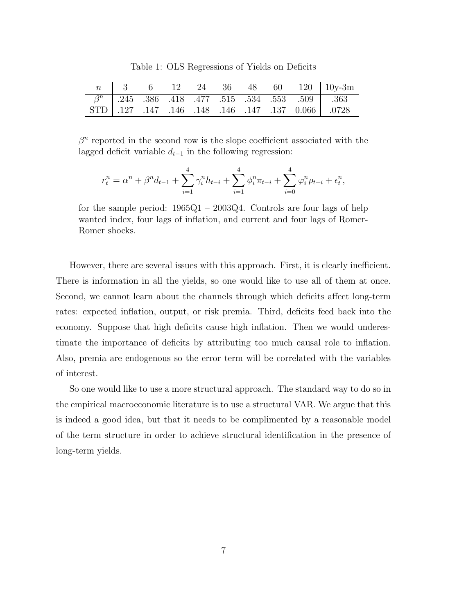Table 1: OLS Regressions of Yields on Deficits

|  |  |  |  | $n \begin{array}{ l} 3 \\ 6 \\ 12 \\ 24 \\ 36 \\ 48 \\ 60 \\ 120 \\ 10y-3m \\ \end{array}$ |
|--|--|--|--|--------------------------------------------------------------------------------------------|
|  |  |  |  | $\boxed{\beta^n}$ .245 .386 .418 .477 .515 .534 .553 .509 .363                             |
|  |  |  |  | STD .127 .147 .146 .148 .146 .147 .137 0.066 .0728                                         |

 $\beta^n$  reported in the second row is the slope coefficient associated with the lagged deficit variable  $d_{t-1}$  in the following regression:

$$
r_t^n = \alpha^n + \beta^n d_{t-1} + \sum_{i=1}^4 \gamma_i^n h_{t-i} + \sum_{i=1}^4 \phi_i^n \pi_{t-i} + \sum_{i=0}^4 \varphi_i^n \rho_{t-i} + \epsilon_t^n,
$$

for the sample period: 1965Q1 – 2003Q4. Controls are four lags of help wanted index, four lags of inflation, and current and four lags of Romer-Romer shocks.

However, there are several issues with this approach. First, it is clearly inefficient. There is information in all the yields, so one would like to use all of them at once. Second, we cannot learn about the channels through which deficits affect long-term rates: expected inflation, output, or risk premia. Third, deficits feed back into the economy. Suppose that high deficits cause high inflation. Then we would underestimate the importance of deficits by attributing too much causal role to inflation. Also, premia are endogenous so the error term will be correlated with the variables of interest.

So one would like to use a more structural approach. The standard way to do so in the empirical macroeconomic literature is to use a structural VAR. We argue that this is indeed a good idea, but that it needs to be complimented by a reasonable model of the term structure in order to achieve structural identification in the presence of long-term yields.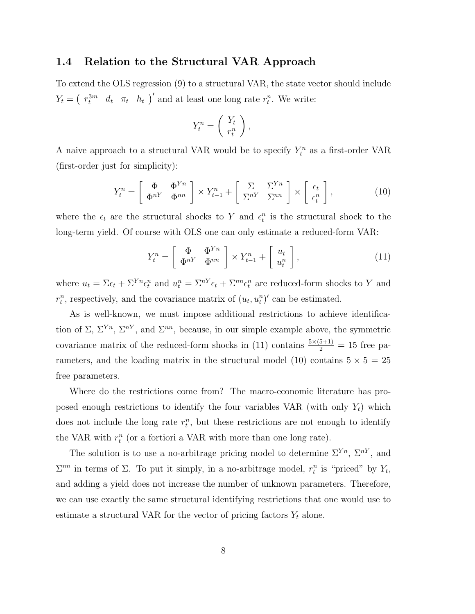#### 1.4 Relation to the Structural VAR Approach

To extend the OLS regression (9) to a structural VAR, the state vector should include  $Y_t = \begin{pmatrix} r_t^{3m} & d_t & \pi_t & h_t \end{pmatrix}'$  and at least one long rate  $r_t^n$ . We write:

$$
Y_t^n = \left(\begin{array}{c} Y_t \\ r_t^n \end{array}\right),
$$

A naive approach to a structural VAR would be to specify  $Y_t^n$  as a first-order VAR (first-order just for simplicity):

$$
Y_t^n = \begin{bmatrix} \Phi & \Phi^{Yn} \\ \Phi^{nY} & \Phi^{nn} \end{bmatrix} \times Y_{t-1}^n + \begin{bmatrix} \Sigma & \Sigma^{Yn} \\ \Sigma^{nY} & \Sigma^{nn} \end{bmatrix} \times \begin{bmatrix} \epsilon_t \\ \epsilon_t^n \end{bmatrix},
$$
(10)

where the  $\epsilon_t$  are the structural shocks to Y and  $\epsilon_t^n$  is the structural shock to the long-term yield. Of course with OLS one can only estimate a reduced-form VAR:

$$
Y_t^n = \left[\begin{array}{cc} \Phi & \Phi^{Yn} \\ \Phi^{nY} & \Phi^{nn} \end{array}\right] \times Y_{t-1}^n + \left[\begin{array}{c} u_t \\ u_t^n \end{array}\right],\tag{11}
$$

where  $u_t = \Sigma \epsilon_t + \Sigma^{Yn} \epsilon_t^n$  and  $u_t^n = \Sigma^{nY} \epsilon_t + \Sigma^{nn} \epsilon_t^n$  are reduced-form shocks to Y and  $r_t^n$ , respectively, and the covariance matrix of  $(u_t, u_t^n)'$  can be estimated.

As is well-known, we must impose additional restrictions to achieve identification of  $\Sigma$ ,  $\Sigma^{Yn}$ ,  $\Sigma^{nY}$ , and  $\Sigma^{nn}$ , because, in our simple example above, the symmetric covariance matrix of the reduced-form shocks in (11) contains  $\frac{5\times(5+1)}{2} = 15$  free parameters, and the loading matrix in the structural model (10) contains  $5 \times 5 = 25$ free parameters.

Where do the restrictions come from? The macro-economic literature has proposed enough restrictions to identify the four variables VAR (with only  $Y_t$ ) which does not include the long rate  $r_t^n$ , but these restrictions are not enough to identify the VAR with  $r_t^n$  (or a fortiori a VAR with more than one long rate).

The solution is to use a no-arbitrage pricing model to determine  $\Sigma^{Yn}$ ,  $\Sigma^{nY}$ , and  $\Sigma^{nn}$  in terms of Σ. To put it simply, in a no-arbitrage model,  $r_t^n$  is "priced" by  $Y_t$ , and adding a yield does not increase the number of unknown parameters. Therefore, we can use exactly the same structural identifying restrictions that one would use to estimate a structural VAR for the vector of pricing factors  $Y_t$  alone.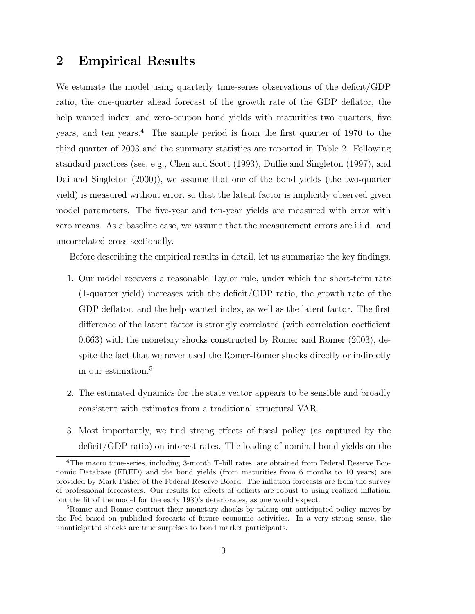### 2 Empirical Results

We estimate the model using quarterly time-series observations of the deficit/GDP ratio, the one-quarter ahead forecast of the growth rate of the GDP deflator, the help wanted index, and zero-coupon bond yields with maturities two quarters, five years, and ten years.<sup>4</sup> The sample period is from the first quarter of 1970 to the third quarter of 2003 and the summary statistics are reported in Table 2. Following standard practices (see, e.g., Chen and Scott (1993), Duffie and Singleton (1997), and Dai and Singleton (2000)), we assume that one of the bond yields (the two-quarter yield) is measured without error, so that the latent factor is implicitly observed given model parameters. The five-year and ten-year yields are measured with error with zero means. As a baseline case, we assume that the measurement errors are i.i.d. and uncorrelated cross-sectionally.

Before describing the empirical results in detail, let us summarize the key findings.

- 1. Our model recovers a reasonable Taylor rule, under which the short-term rate (1-quarter yield) increases with the deficit/GDP ratio, the growth rate of the GDP deflator, and the help wanted index, as well as the latent factor. The first difference of the latent factor is strongly correlated (with correlation coefficient 0.663) with the monetary shocks constructed by Romer and Romer (2003), despite the fact that we never used the Romer-Romer shocks directly or indirectly in our estimation.<sup>5</sup>
- 2. The estimated dynamics for the state vector appears to be sensible and broadly consistent with estimates from a traditional structural VAR.
- 3. Most importantly, we find strong effects of fiscal policy (as captured by the deficit/GDP ratio) on interest rates. The loading of nominal bond yields on the

<sup>4</sup>The macro time-series, including 3-month T-bill rates, are obtained from Federal Reserve Economic Database (FRED) and the bond yields (from maturities from 6 months to 10 years) are provided by Mark Fisher of the Federal Reserve Board. The inflation forecasts are from the survey of professional forecasters. Our results for effects of deficits are robust to using realized inflation, but the fit of the model for the early 1980's deteriorates, as one would expect.

<sup>5</sup>Romer and Romer contruct their monetary shocks by taking out anticipated policy moves by the Fed based on published forecasts of future economic activities. In a very strong sense, the unanticipated shocks are true surprises to bond market participants.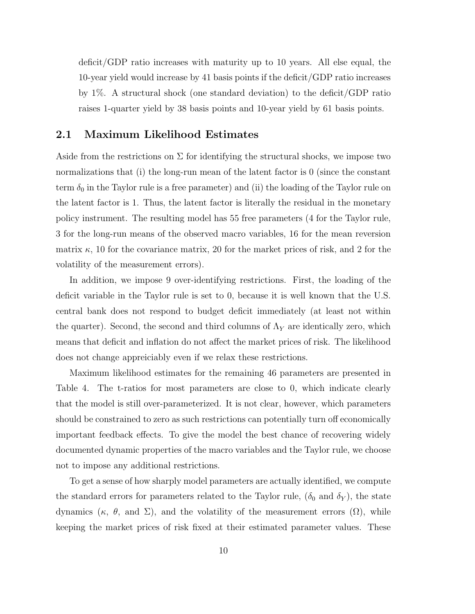deficit/GDP ratio increases with maturity up to 10 years. All else equal, the 10-year yield would increase by 41 basis points if the deficit/GDP ratio increases by 1%. A structural shock (one standard deviation) to the deficit/GDP ratio raises 1-quarter yield by 38 basis points and 10-year yield by 61 basis points.

#### 2.1 Maximum Likelihood Estimates

Aside from the restrictions on  $\Sigma$  for identifying the structural shocks, we impose two normalizations that (i) the long-run mean of the latent factor is 0 (since the constant term  $\delta_0$  in the Taylor rule is a free parameter) and (ii) the loading of the Taylor rule on the latent factor is 1. Thus, the latent factor is literally the residual in the monetary policy instrument. The resulting model has 55 free parameters (4 for the Taylor rule, 3 for the long-run means of the observed macro variables, 16 for the mean reversion matrix  $\kappa$ , 10 for the covariance matrix, 20 for the market prices of risk, and 2 for the volatility of the measurement errors).

In addition, we impose 9 over-identifying restrictions. First, the loading of the deficit variable in the Taylor rule is set to 0, because it is well known that the U.S. central bank does not respond to budget deficit immediately (at least not within the quarter). Second, the second and third columns of  $\Lambda_Y$  are identically zero, which means that deficit and inflation do not affect the market prices of risk. The likelihood does not change appreiciably even if we relax these restrictions.

Maximum likelihood estimates for the remaining 46 parameters are presented in Table 4. The t-ratios for most parameters are close to 0, which indicate clearly that the model is still over-parameterized. It is not clear, however, which parameters should be constrained to zero as such restrictions can potentially turn off economically important feedback effects. To give the model the best chance of recovering widely documented dynamic properties of the macro variables and the Taylor rule, we choose not to impose any additional restrictions.

To get a sense of how sharply model parameters are actually identified, we compute the standard errors for parameters related to the Taylor rule,  $(\delta_0$  and  $\delta_Y)$ , the state dynamics ( $\kappa$ ,  $\theta$ , and  $\Sigma$ ), and the volatility of the measurement errors (Ω), while keeping the market prices of risk fixed at their estimated parameter values. These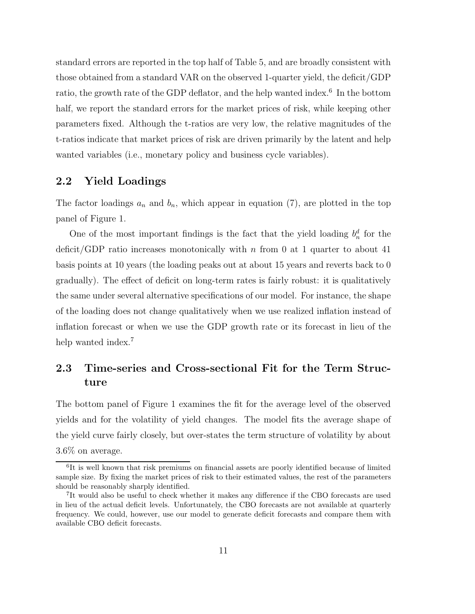standard errors are reported in the top half of Table 5, and are broadly consistent with those obtained from a standard VAR on the observed 1-quarter yield, the deficit/GDP ratio, the growth rate of the GDP deflator, and the help wanted index.<sup>6</sup> In the bottom half, we report the standard errors for the market prices of risk, while keeping other parameters fixed. Although the t-ratios are very low, the relative magnitudes of the t-ratios indicate that market prices of risk are driven primarily by the latent and help wanted variables (i.e., monetary policy and business cycle variables).

#### 2.2 Yield Loadings

The factor loadings  $a_n$  and  $b_n$ , which appear in equation (7), are plotted in the top panel of Figure 1.

One of the most important findings is the fact that the yield loading  $b_n^d$  for the deficit/GDP ratio increases monotonically with n from 0 at 1 quarter to about 41 basis points at 10 years (the loading peaks out at about 15 years and reverts back to 0 gradually). The effect of deficit on long-term rates is fairly robust: it is qualitatively the same under several alternative specifications of our model. For instance, the shape of the loading does not change qualitatively when we use realized inflation instead of inflation forecast or when we use the GDP growth rate or its forecast in lieu of the help wanted index.<sup>7</sup>

### 2.3 Time-series and Cross-sectional Fit for the Term Structure

The bottom panel of Figure 1 examines the fit for the average level of the observed yields and for the volatility of yield changes. The model fits the average shape of the yield curve fairly closely, but over-states the term structure of volatility by about 3.6% on average.

<sup>&</sup>lt;sup>6</sup>It is well known that risk premiums on financial assets are poorly identified because of limited sample size. By fixing the market prices of risk to their estimated values, the rest of the parameters should be reasonably sharply identified.

<sup>7</sup> It would also be useful to check whether it makes any difference if the CBO forecasts are used in lieu of the actual deficit levels. Unfortunately, the CBO forecasts are not available at quarterly frequency. We could, however, use our model to generate deficit forecasts and compare them with available CBO deficit forecasts.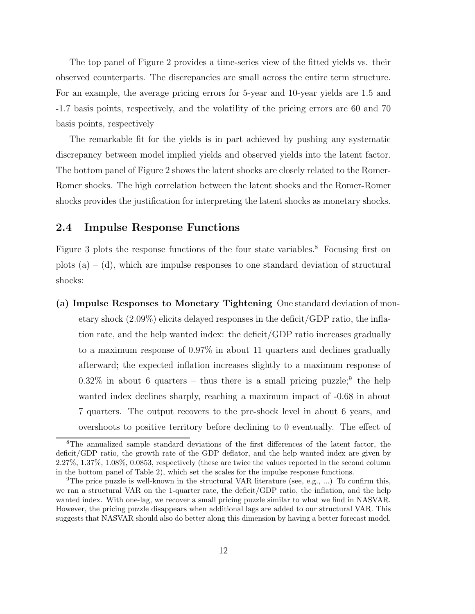The top panel of Figure 2 provides a time-series view of the fitted yields vs. their observed counterparts. The discrepancies are small across the entire term structure. For an example, the average pricing errors for 5-year and 10-year yields are 1.5 and -1.7 basis points, respectively, and the volatility of the pricing errors are 60 and 70 basis points, respectively

The remarkable fit for the yields is in part achieved by pushing any systematic discrepancy between model implied yields and observed yields into the latent factor. The bottom panel of Figure 2 shows the latent shocks are closely related to the Romer-Romer shocks. The high correlation between the latent shocks and the Romer-Romer shocks provides the justification for interpreting the latent shocks as monetary shocks.

#### 2.4 Impulse Response Functions

Figure 3 plots the response functions of the four state variables.<sup>8</sup> Focusing first on plots  $(a) - (d)$ , which are impulse responses to one standard deviation of structural shocks:

(a) Impulse Responses to Monetary Tightening One standard deviation of monetary shock (2.09%) elicits delayed responses in the deficit/GDP ratio, the inflation rate, and the help wanted index: the deficit/GDP ratio increases gradually to a maximum response of 0.97% in about 11 quarters and declines gradually afterward; the expected inflation increases slightly to a maximum response of  $0.32\%$  in about 6 quarters – thus there is a small pricing puzzle; the help wanted index declines sharply, reaching a maximum impact of -0.68 in about 7 quarters. The output recovers to the pre-shock level in about 6 years, and overshoots to positive territory before declining to 0 eventually. The effect of

<sup>8</sup>The annualized sample standard deviations of the first differences of the latent factor, the deficit/GDP ratio, the growth rate of the GDP deflator, and the help wanted index are given by 2.27%, 1.37%, 1.08%, 0.0853, respectively (these are twice the values reported in the second column in the bottom panel of Table 2), which set the scales for the impulse response functions.

<sup>&</sup>lt;sup>9</sup>The price puzzle is well-known in the structural VAR literature (see, e.g., ...) To confirm this, we ran a structural VAR on the 1-quarter rate, the deficit/GDP ratio, the inflation, and the help wanted index. With one-lag, we recover a small pricing puzzle similar to what we find in NASVAR. However, the pricing puzzle disappears when additional lags are added to our structural VAR. This suggests that NASVAR should also do better along this dimension by having a better forecast model.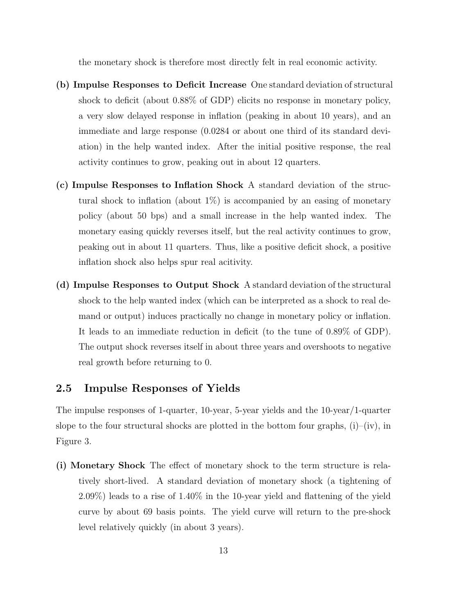the monetary shock is therefore most directly felt in real economic activity.

- (b) Impulse Responses to Deficit Increase One standard deviation of structural shock to deficit (about 0.88% of GDP) elicits no response in monetary policy, a very slow delayed response in inflation (peaking in about 10 years), and an immediate and large response (0.0284 or about one third of its standard deviation) in the help wanted index. After the initial positive response, the real activity continues to grow, peaking out in about 12 quarters.
- (c) Impulse Responses to Inflation Shock A standard deviation of the structural shock to inflation (about  $1\%$ ) is accompanied by an easing of monetary policy (about 50 bps) and a small increase in the help wanted index. The monetary easing quickly reverses itself, but the real activity continues to grow, peaking out in about 11 quarters. Thus, like a positive deficit shock, a positive inflation shock also helps spur real acitivity.
- (d) Impulse Responses to Output Shock A standard deviation of the structural shock to the help wanted index (which can be interpreted as a shock to real demand or output) induces practically no change in monetary policy or inflation. It leads to an immediate reduction in deficit (to the tune of 0.89% of GDP). The output shock reverses itself in about three years and overshoots to negative real growth before returning to 0.

#### 2.5 Impulse Responses of Yields

The impulse responses of 1-quarter, 10-year, 5-year yields and the 10-year/1-quarter slope to the four structural shocks are plotted in the bottom four graphs,  $(i)$ – $(iv)$ , in Figure 3.

(i) Monetary Shock The effect of monetary shock to the term structure is relatively short-lived. A standard deviation of monetary shock (a tightening of 2.09%) leads to a rise of 1.40% in the 10-year yield and flattening of the yield curve by about 69 basis points. The yield curve will return to the pre-shock level relatively quickly (in about 3 years).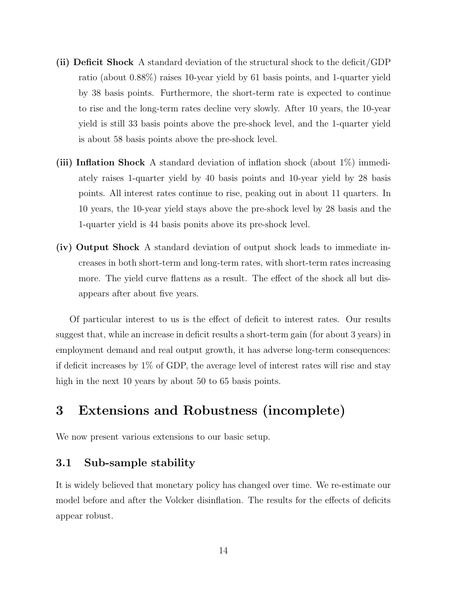- (ii) Deficit Shock A standard deviation of the structural shock to the deficit/GDP ratio (about 0.88%) raises 10-year yield by 61 basis points, and 1-quarter yield by 38 basis points. Furthermore, the short-term rate is expected to continue to rise and the long-term rates decline very slowly. After 10 years, the 10-year yield is still 33 basis points above the pre-shock level, and the 1-quarter yield is about 58 basis points above the pre-shock level.
- (iii) Inflation Shock A standard deviation of inflation shock (about 1%) immediately raises 1-quarter yield by 40 basis points and 10-year yield by 28 basis points. All interest rates continue to rise, peaking out in about 11 quarters. In 10 years, the 10-year yield stays above the pre-shock level by 28 basis and the 1-quarter yield is 44 basis ponits above its pre-shock level.
- (iv) Output Shock A standard deviation of output shock leads to immediate increases in both short-term and long-term rates, with short-term rates increasing more. The yield curve flattens as a result. The effect of the shock all but disappears after about five years.

Of particular interest to us is the effect of deficit to interest rates. Our results suggest that, while an increase in deficit results a short-term gain (for about 3 years) in employment demand and real output growth, it has adverse long-term consequences: if deficit increases by 1% of GDP, the average level of interest rates will rise and stay high in the next 10 years by about 50 to 65 basis points.

## 3 Extensions and Robustness (incomplete)

We now present various extensions to our basic setup.

#### 3.1 Sub-sample stability

It is widely believed that monetary policy has changed over time. We re-estimate our model before and after the Volcker disinflation. The results for the effects of deficits appear robust.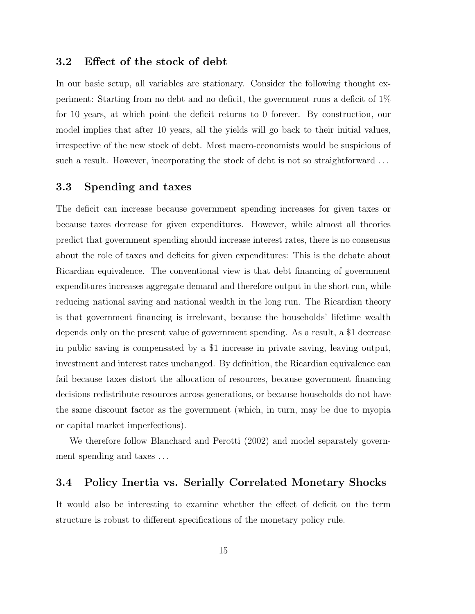#### 3.2 Effect of the stock of debt

In our basic setup, all variables are stationary. Consider the following thought experiment: Starting from no debt and no deficit, the government runs a deficit of 1% for 10 years, at which point the deficit returns to 0 forever. By construction, our model implies that after 10 years, all the yields will go back to their initial values, irrespective of the new stock of debt. Most macro-economists would be suspicious of such a result. However, incorporating the stock of debt is not so straightforward ...

#### 3.3 Spending and taxes

The deficit can increase because government spending increases for given taxes or because taxes decrease for given expenditures. However, while almost all theories predict that government spending should increase interest rates, there is no consensus about the role of taxes and deficits for given expenditures: This is the debate about Ricardian equivalence. The conventional view is that debt financing of government expenditures increases aggregate demand and therefore output in the short run, while reducing national saving and national wealth in the long run. The Ricardian theory is that government financing is irrelevant, because the households' lifetime wealth depends only on the present value of government spending. As a result, a \$1 decrease in public saving is compensated by a \$1 increase in private saving, leaving output, investment and interest rates unchanged. By definition, the Ricardian equivalence can fail because taxes distort the allocation of resources, because government financing decisions redistribute resources across generations, or because households do not have the same discount factor as the government (which, in turn, may be due to myopia or capital market imperfections).

We therefore follow Blanchard and Perotti (2002) and model separately government spending and taxes . . .

#### 3.4 Policy Inertia vs. Serially Correlated Monetary Shocks

It would also be interesting to examine whether the effect of deficit on the term structure is robust to different specifications of the monetary policy rule.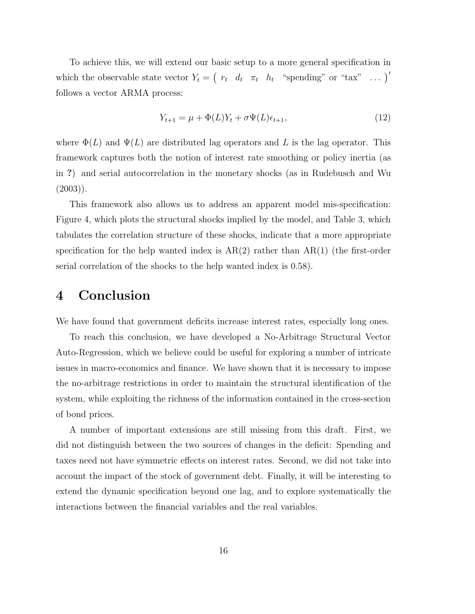To achieve this, we will extend our basic setup to a more general specification in which the observable state vector  $Y_t = (r_t d_t \pi_t h_t$  "spending" or "tax" ...) follows a vector ARMA process:

$$
Y_{t+1} = \mu + \Phi(L)Y_t + \sigma \Psi(L)\epsilon_{t+1},
$$
\n(12)

where  $\Phi(L)$  and  $\Psi(L)$  are distributed lag operators and L is the lag operator. This framework captures both the notion of interest rate smoothing or policy inertia (as in ?) and serial autocorrelation in the monetary shocks (as in Rudebusch and Wu  $(2003)$ ).

This framework also allows us to address an apparent model mis-specification: Figure 4, which plots the structural shocks implied by the model, and Table 3, which tabulates the correlation structure of these shocks, indicate that a more appropriate specification for the help wanted index is  $AR(2)$  rather than  $AR(1)$  (the first-order serial correlation of the shocks to the help wanted index is 0.58).

### 4 Conclusion

We have found that government deficits increase interest rates, especially long ones.

To reach this conclusion, we have developed a No-Arbitrage Structural Vector Auto-Regression, which we believe could be useful for exploring a number of intricate issues in macro-economics and finance. We have shown that it is necessary to impose the no-arbitrage restrictions in order to maintain the structural identification of the system, while exploiting the richness of the information contained in the cross-section of bond prices.

A number of important extensions are still missing from this draft. First, we did not distinguish between the two sources of changes in the deficit: Spending and taxes need not have symmetric effects on interest rates. Second, we did not take into account the impact of the stock of government debt. Finally, it will be interesting to extend the dynamic specification beyond one lag, and to explore systematically the interactions between the financial variables and the real variables.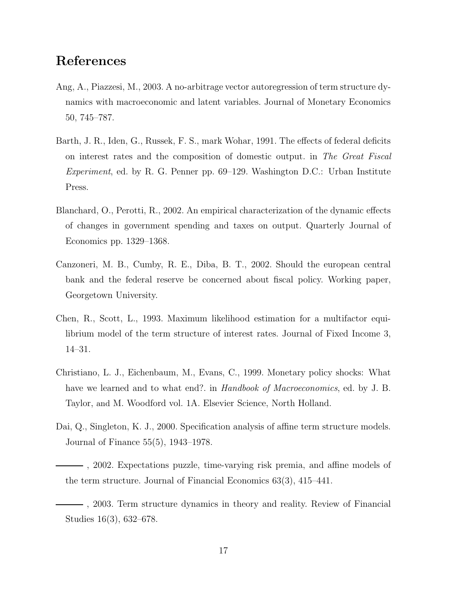### References

- Ang, A., Piazzesi, M., 2003. A no-arbitrage vector autoregression of term structure dynamics with macroeconomic and latent variables. Journal of Monetary Economics 50, 745–787.
- Barth, J. R., Iden, G., Russek, F. S., mark Wohar, 1991. The effects of federal deficits on interest rates and the composition of domestic output. in The Great Fiscal Experiment, ed. by R. G. Penner pp. 69–129. Washington D.C.: Urban Institute Press.
- Blanchard, O., Perotti, R., 2002. An empirical characterization of the dynamic effects of changes in government spending and taxes on output. Quarterly Journal of Economics pp. 1329–1368.
- Canzoneri, M. B., Cumby, R. E., Diba, B. T., 2002. Should the european central bank and the federal reserve be concerned about fiscal policy. Working paper, Georgetown University.
- Chen, R., Scott, L., 1993. Maximum likelihood estimation for a multifactor equilibrium model of the term structure of interest rates. Journal of Fixed Income 3, 14–31.
- Christiano, L. J., Eichenbaum, M., Evans, C., 1999. Monetary policy shocks: What have we learned and to what end?. in *Handbook of Macroeconomics*, ed. by J. B. Taylor, and M. Woodford vol. 1A. Elsevier Science, North Holland.
- Dai, Q., Singleton, K. J., 2000. Specification analysis of affine term structure models. Journal of Finance 55(5), 1943–1978.
- , 2002. Expectations puzzle, time-varying risk premia, and affine models of the term structure. Journal of Financial Economics 63(3), 415–441.
	- , 2003. Term structure dynamics in theory and reality. Review of Financial Studies 16(3), 632–678.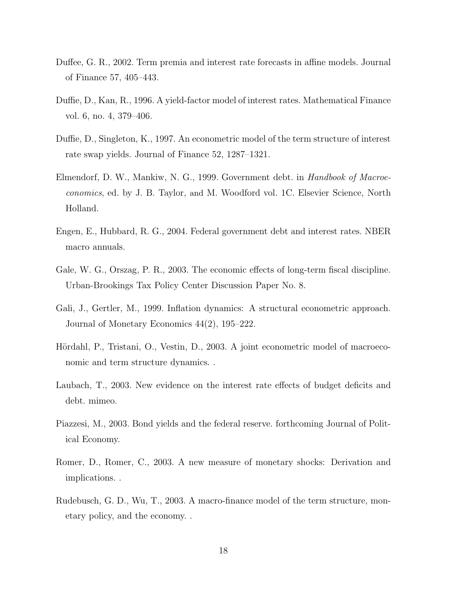- Duffee, G. R., 2002. Term premia and interest rate forecasts in affine models. Journal of Finance 57, 405–443.
- Duffie, D., Kan, R., 1996. A yield-factor model of interest rates. Mathematical Finance vol. 6, no. 4, 379–406.
- Duffie, D., Singleton, K., 1997. An econometric model of the term structure of interest rate swap yields. Journal of Finance 52, 1287–1321.
- Elmendorf, D. W., Mankiw, N. G., 1999. Government debt. in Handbook of Macroeconomics, ed. by J. B. Taylor, and M. Woodford vol. 1C. Elsevier Science, North Holland.
- Engen, E., Hubbard, R. G., 2004. Federal government debt and interest rates. NBER macro annuals.
- Gale, W. G., Orszag, P. R., 2003. The economic effects of long-term fiscal discipline. Urban-Brookings Tax Policy Center Discussion Paper No. 8.
- Gali, J., Gertler, M., 1999. Inflation dynamics: A structural econometric approach. Journal of Monetary Economics 44(2), 195–222.
- Hördahl, P., Tristani, O., Vestin, D., 2003. A joint econometric model of macroeconomic and term structure dynamics. .
- Laubach, T., 2003. New evidence on the interest rate effects of budget deficits and debt. mimeo.
- Piazzesi, M., 2003. Bond yields and the federal reserve. forthcoming Journal of Political Economy.
- Romer, D., Romer, C., 2003. A new measure of monetary shocks: Derivation and implications. .
- Rudebusch, G. D., Wu, T., 2003. A macro-finance model of the term structure, monetary policy, and the economy. .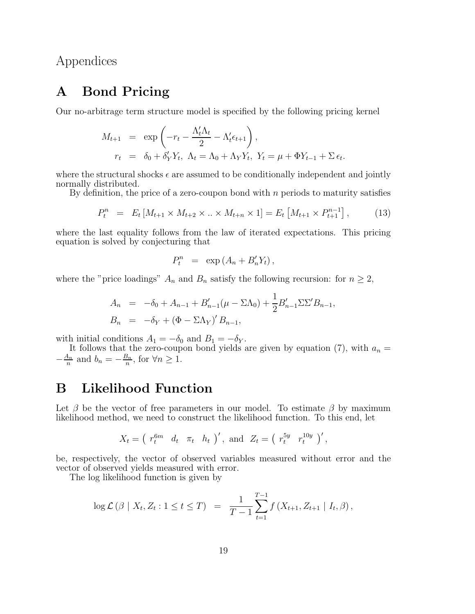Appendices

# A Bond Pricing

Our no-arbitrage term structure model is specified by the following pricing kernel

$$
M_{t+1} = \exp\left(-r_t - \frac{\Lambda_t'\Lambda_t}{2} - \Lambda_t'\epsilon_{t+1}\right),
$$
  
\n
$$
r_t = \delta_0 + \delta_Y'Y_t, \ \Lambda_t = \Lambda_0 + \Lambda_YY_t, \ Y_t = \mu + \Phi Y_{t-1} + \Sigma \epsilon_t.
$$

where the structural shocks  $\epsilon$  are assumed to be conditionally independent and jointly normally distributed.

By definition, the price of a zero-coupon bond with  $n$  periods to maturity satisfies

$$
P_t^n = E_t \left[ M_{t+1} \times M_{t+2} \times \ldots \times M_{t+n} \times 1 \right] = E_t \left[ M_{t+1} \times P_{t+1}^{n-1} \right], \tag{13}
$$

where the last equality follows from the law of iterated expectations. This pricing equation is solved by conjecturing that

$$
P_t^n = \exp\left(A_n + B'_n Y_t\right),
$$

where the "price loadings"  $A_n$  and  $B_n$  satisfy the following recursion: for  $n \geq 2$ ,

$$
A_n = -\delta_0 + A_{n-1} + B'_{n-1}(\mu - \Sigma \Lambda_0) + \frac{1}{2} B'_{n-1} \Sigma \Sigma' B_{n-1},
$$
  
\n
$$
B_n = -\delta_Y + (\Phi - \Sigma \Lambda_Y)' B_{n-1},
$$

with initial conditions  $A_1 = -\delta_0$  and  $B_1 = -\delta_Y$ .

It follows that the zero-coupon bond yields are given by equation (7), with  $a_n =$  $-\frac{A_n}{n}$  $\frac{A_n}{n}$  and  $b_n = -\frac{B_n}{n}$  $\frac{\beta_n}{n}$ , for  $\forall n \geq 1$ .

# B Likelihood Function

Let  $\beta$  be the vector of free parameters in our model. To estimate  $\beta$  by maximum likelihood method, we need to construct the likelihood function. To this end, let

$$
X_t = \left( r_t^{6m} d_t \pi_t h_t \right)', \text{ and } Z_t = \left( r_t^{5y} r_t^{10y} \right)',
$$

be, respectively, the vector of observed variables measured without error and the vector of observed yields measured with error.

The log likelihood function is given by

$$
\log \mathcal{L}(\beta \mid X_t, Z_t : 1 \le t \le T) = \frac{1}{T-1} \sum_{t=1}^{T-1} f(X_{t+1}, Z_{t+1} \mid I_t, \beta),
$$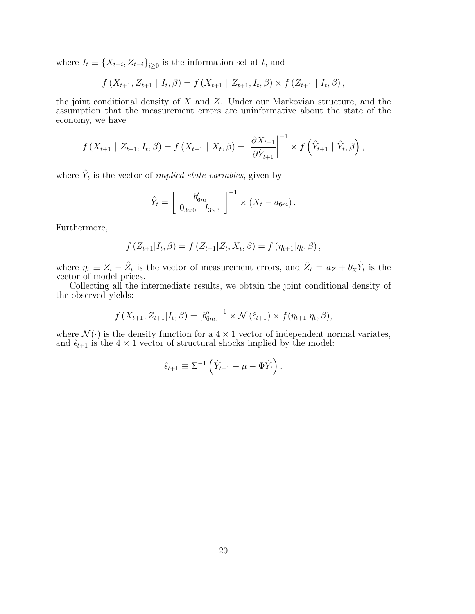where  $I_t \equiv \{X_{t-i}, Z_{t-i}\}_{i\geq 0}$  is the information set at t, and

$$
f(X_{t+1}, Z_{t+1} | I_t, \beta) = f(X_{t+1} | Z_{t+1}, I_t, \beta) \times f(Z_{t+1} | I_t, \beta),
$$

the joint conditional density of  $X$  and  $Z$ . Under our Markovian structure, and the assumption that the measurement errors are uninformative about the state of the economy, we have

$$
f(X_{t+1} | Z_{t+1}, I_t, \beta) = f(X_{t+1} | X_t, \beta) = \left| \frac{\partial X_{t+1}}{\partial \hat{Y}_{t+1}} \right|^{-1} \times f(\hat{Y}_{t+1} | \hat{Y}_t, \beta),
$$

where  $\hat{Y}_t$  is the vector of *implied state variables*, given by

$$
\hat{Y}_t = \left[ \begin{array}{c} b'_{6m} \\ 0_{3\times 0} \end{array} \right]^{-1} \times (X_t - a_{6m}).
$$

Furthermore,

$$
f(Z_{t+1}|I_t, \beta) = f(Z_{t+1}|Z_t, X_t, \beta) = f(\eta_{t+1}|\eta_t, \beta),
$$

where  $\eta_t \equiv Z_t - \hat{Z}_t$  is the vector of measurement errors, and  $\hat{Z}_t = a_Z + b'_Z \hat{Y}_t$  is the vector of model prices.

Collecting all the intermediate results, we obtain the joint conditional density of the observed yields:

$$
f(X_{t+1}, Z_{t+1}|I_t, \beta) = [b_{6m}^q]^{-1} \times \mathcal{N}(\hat{\epsilon}_{t+1}) \times f(\eta_{t+1}|\eta_t, \beta),
$$

where  $\mathcal{N}(\cdot)$  is the density function for a  $4 \times 1$  vector of independent normal variates, and  $\hat{\epsilon}_{t+1}$  is the  $4 \times 1$  vector of structural shocks implied by the model:

$$
\hat{\epsilon}_{t+1} \equiv \Sigma^{-1} \left( \hat{Y}_{t+1} - \mu - \Phi \hat{Y}_t \right).
$$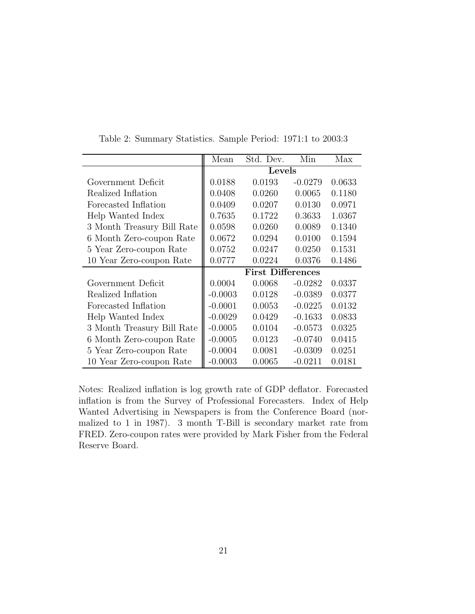|                            | Mean      | Std. Dev.                | Min       | Max    |  |  |  |  |  |
|----------------------------|-----------|--------------------------|-----------|--------|--|--|--|--|--|
|                            |           | Levels                   |           |        |  |  |  |  |  |
| Government Deficit         | 0.0188    | 0.0193                   | $-0.0279$ | 0.0633 |  |  |  |  |  |
| Realized Inflation         | 0.0408    | 0.0260                   | 0.0065    | 0.1180 |  |  |  |  |  |
| Forecasted Inflation       | 0.0409    | 0.0207                   | 0.0130    | 0.0971 |  |  |  |  |  |
| Help Wanted Index          | 0.7635    | 0.1722                   | 0.3633    | 1.0367 |  |  |  |  |  |
| 3 Month Treasury Bill Rate | 0.0598    | 0.0260                   | 0.0089    | 0.1340 |  |  |  |  |  |
| 6 Month Zero-coupon Rate   | 0.0672    | 0.0294                   | 0.0100    | 0.1594 |  |  |  |  |  |
| 5 Year Zero-coupon Rate    | 0.0752    | 0.0247                   | 0.0250    | 0.1531 |  |  |  |  |  |
| 10 Year Zero-coupon Rate   | 0.0777    | 0.0224                   | 0.0376    | 0.1486 |  |  |  |  |  |
|                            |           | <b>First Differences</b> |           |        |  |  |  |  |  |
| Government Deficit         | 0.0004    | 0.0068                   | $-0.0282$ | 0.0337 |  |  |  |  |  |
| Realized Inflation         | $-0.0003$ | 0.0128                   | $-0.0389$ | 0.0377 |  |  |  |  |  |
| Forecasted Inflation       | $-0.0001$ | 0.0053                   | $-0.0225$ | 0.0132 |  |  |  |  |  |
| Help Wanted Index          | $-0.0029$ | 0.0429                   | $-0.1633$ | 0.0833 |  |  |  |  |  |
| 3 Month Treasury Bill Rate | $-0.0005$ | 0.0104                   | $-0.0573$ | 0.0325 |  |  |  |  |  |
| 6 Month Zero-coupon Rate   | $-0.0005$ | 0.0123                   | $-0.0740$ | 0.0415 |  |  |  |  |  |
| 5 Year Zero-coupon Rate    | $-0.0004$ | 0.0081                   | $-0.0309$ | 0.0251 |  |  |  |  |  |
| 10 Year Zero-coupon Rate   | $-0.0003$ | 0.0065                   | $-0.0211$ | 0.0181 |  |  |  |  |  |

Table 2: Summary Statistics. Sample Period: 1971:1 to 2003:3

Notes: Realized inflation is log growth rate of GDP deflator. Forecasted inflation is from the Survey of Professional Forecasters. Index of Help Wanted Advertising in Newspapers is from the Conference Board (normalized to 1 in 1987). 3 month T-Bill is secondary market rate from FRED. Zero-coupon rates were provided by Mark Fisher from the Federal Reserve Board.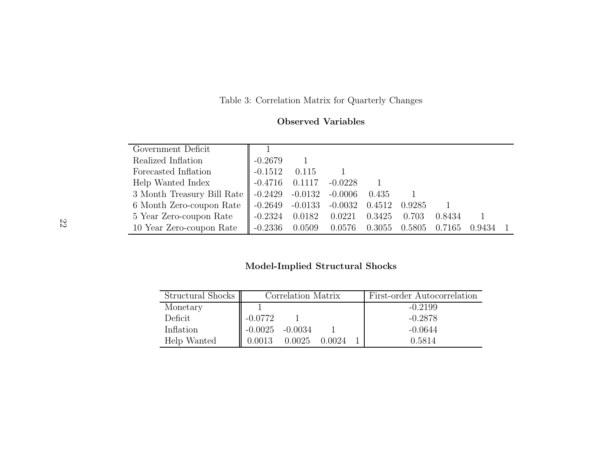Table 3: Correlation Matrix for Quarterly Changes

| Government Deficit                                               |                     |        |                 |        |        |        |        |  |
|------------------------------------------------------------------|---------------------|--------|-----------------|--------|--------|--------|--------|--|
|                                                                  |                     |        |                 |        |        |        |        |  |
| Realized Inflation                                               | $-0.2679$           |        |                 |        |        |        |        |  |
| Forecasted Inflation                                             | $\parallel$ -0.1512 | 0.115  |                 |        |        |        |        |  |
| Help Wanted Index                                                | $-0.4716$           | 0.1117 | $-0.0228$       |        |        |        |        |  |
| 3 Month Treasury Bill Rate   -0.2429 -0.0132 -0.0006 0.435       |                     |        |                 |        |        |        |        |  |
| 6 Month Zero-coupon Rate   -0.2649 -0.0133 -0.0032 0.4512 0.9285 |                     |        |                 |        |        |        |        |  |
| 5 Year Zero-coupon Rate                                          | $-0.2324$ 0.0182    |        | 0.0221          | 0.3425 | 0.703  | 0.8434 |        |  |
| 10 Year Zero-coupon Rate                                         | $-0.2336$ $0.0509$  |        | $0.0576$ 0.3055 |        | 0.5805 | 0.7165 | 0.9434 |  |

### Model-Implied Structural Shocks

| Structural Shocks |           | Correlation Matrix |        | First-order Autocorrelation |           |  |  |
|-------------------|-----------|--------------------|--------|-----------------------------|-----------|--|--|
| Monetary          |           |                    |        |                             | $-0.2199$ |  |  |
| Deficit           | $-0.0772$ |                    |        |                             | $-0.2878$ |  |  |
| Inflation         | $-0.0025$ | $-0.0034$          |        |                             | $-0.0644$ |  |  |
| Help Wanted       | 0.0013    | 0.0025             | 0.0024 |                             | 0.5814    |  |  |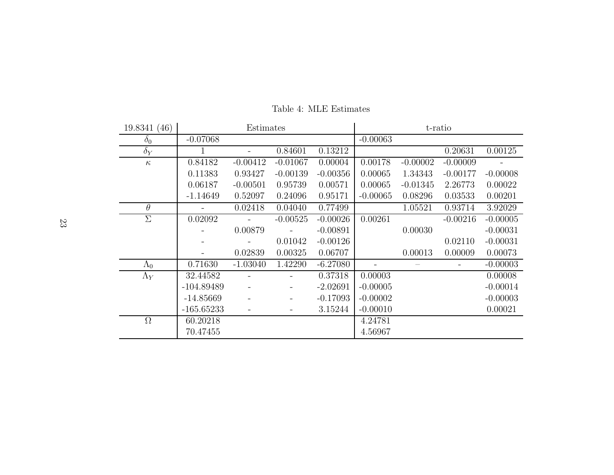| 19.8341 (46) | Estimates    |            |                              |            | t-ratio    |            |            |            |
|--------------|--------------|------------|------------------------------|------------|------------|------------|------------|------------|
| $\delta_0$   | $-0.07068$   |            |                              |            | $-0.00063$ |            |            |            |
| $\delta_Y$   |              |            | 0.84601                      | 0.13212    |            |            | 0.20631    | 0.00125    |
| $\kappa$     | 0.84182      | $-0.00412$ | $-0.01067$                   | 0.00004    | 0.00178    | $-0.00002$ | $-0.00009$ |            |
|              | 0.11383      | 0.93427    | $-0.00139$                   | $-0.00356$ | 0.00065    | 1.34343    | $-0.00177$ | $-0.00008$ |
|              | 0.06187      | $-0.00501$ | 0.95739                      | 0.00571    | 0.00065    | $-0.01345$ | 2.26773    | 0.00022    |
|              | $-1.14649$   | 0.52097    | 0.24096                      | 0.95171    | $-0.00065$ | 0.08296    | 0.03533    | 0.00201    |
| $\theta$     |              | 0.02418    | 0.04040                      | 0.77499    |            | 1.05521    | 0.93714    | 3.92029    |
| $\Sigma$     | 0.02092      |            | $-0.00525$                   | $-0.00026$ | 0.00261    |            | $-0.00216$ | $-0.00005$ |
|              |              | 0.00879    |                              | $-0.00891$ |            | 0.00030    |            | $-0.00031$ |
|              |              |            | 0.01042                      | $-0.00126$ |            |            | 0.02110    | $-0.00031$ |
|              |              | 0.02839    | 0.00325                      | 0.06707    |            | 0.00013    | 0.00009    | 0.00073    |
| $\Lambda_0$  | 0.71630      | $-1.03040$ | 1.42290                      | $-6.27080$ |            |            |            | $-0.00003$ |
| $\Lambda_Y$  | 32.44582     |            |                              | 0.37318    | 0.00003    |            |            | 0.00008    |
|              | $-104.89489$ |            | $\qquad \qquad \blacksquare$ | $-2.02691$ | $-0.00005$ |            |            | $-0.00014$ |
|              | $-14.85669$  |            | -                            | $-0.17093$ | $-0.00002$ |            |            | $-0.00003$ |
|              | $-165.65233$ |            |                              | 3.15244    | $-0.00010$ |            |            | 0.00021    |
| $\Omega$     | 60.20218     |            |                              |            | 4.24781    |            |            |            |
|              | 70.47455     |            |                              |            | 4.56967    |            |            |            |

Table 4: MLE Estimates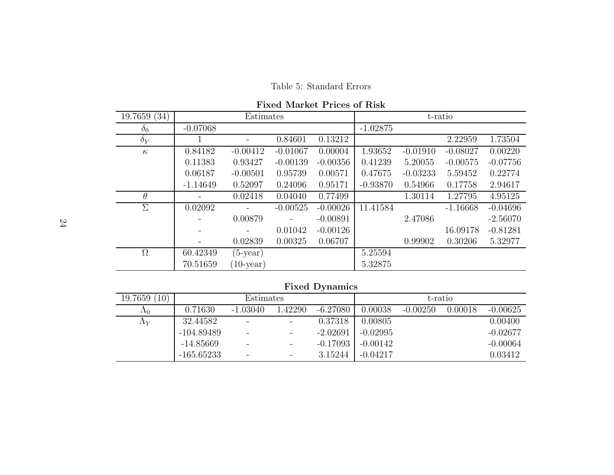Table 5: Standard Errors

Fixed Market Prices of Risk

| 19.7659(34)     |            | Estimates    |                   |            | t-ratio    |            |            |            |
|-----------------|------------|--------------|-------------------|------------|------------|------------|------------|------------|
| $\mathcal{O}_0$ | $-0.07068$ |              |                   |            | $-1.02875$ |            |            |            |
| $\delta_Y$      |            |              | 0.84601           | 0.13212    |            |            | 2.22959    | 1.73504    |
| $\kappa$        | 0.84182    | $-0.00412$   | $-0.01067$        | 0.00004    | 1.93652    | $-0.01910$ | $-0.08027$ | 0.00220    |
|                 | 0.11383    | 0.93427      | $-0.00139$        | $-0.00356$ | 0.41239    | 5.20055    | $-0.00575$ | $-0.07756$ |
|                 | 0.06187    | $-0.00501$   | 0.95739           | 0.00571    | 0.47675    | $-0.03233$ | 5.59452    | 0.22774    |
|                 | $-1.14649$ | 0.52097      | 0.24096           | 0.95171    | $-0.93870$ | 0.54966    | 0.17758    | 2.94617    |
| $\theta$        |            | 0.02418      | 0.04040           | 0.77499    |            | 1.30114    | 1.27795    | 4.95125    |
| Σ               | 0.02092    |              | $-0.00525$        | $-0.00026$ | 11.41584   |            | $-1.16668$ | $-0.04696$ |
|                 |            | 0.00879      | $\qquad \qquad -$ | $-0.00891$ |            | 2.47086    |            | $-2.56070$ |
|                 |            |              | 0.01042           | $-0.00126$ |            |            | 16.09178   | $-0.81281$ |
|                 |            | 0.02839      | 0.00325           | 0.06707    |            | 0.99902    | 0.30206    | 5.32977    |
| $\Omega$        | 60.42349   | $(5$ -year)  |                   |            | 5.25594    |            |            |            |
|                 | 70.51659   | $(10$ -year) |                   |            | 5.32875    |            |            |            |

Fixed Dynamics

| 19.7659<br>$10^{\circ}$ |              | t-ratio                  |         |            |            |            |         |            |
|-------------------------|--------------|--------------------------|---------|------------|------------|------------|---------|------------|
| $\Lambda_0$             | 0.71630      | $-1.03040$               | 1.42290 | $-6.27080$ | 0.00038    | $-0.00250$ | 0.00018 | $-0.00625$ |
| $\Lambda_Y$             | 32.44582     | $\overline{\phantom{a}}$ | -       | 0.37318    | 0.00805    |            |         | 0.00400    |
|                         | $-104.89489$ | $\overline{\phantom{m}}$ | -       | $-2.02691$ | $-0.02995$ |            |         | $-0.02677$ |
|                         | -14.85669    | $\overline{\phantom{a}}$ | -       | $-0.17093$ | $-0.00142$ |            |         | $-0.00064$ |
|                         | $-165.65233$ | $\overline{\phantom{m}}$ | -       | 3.15244    | $-0.04217$ |            |         | 0.03412    |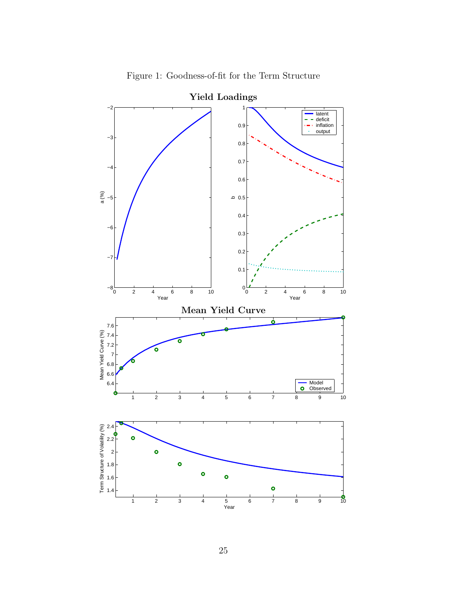

Figure 1: Goodness-of-fit for the Term Structure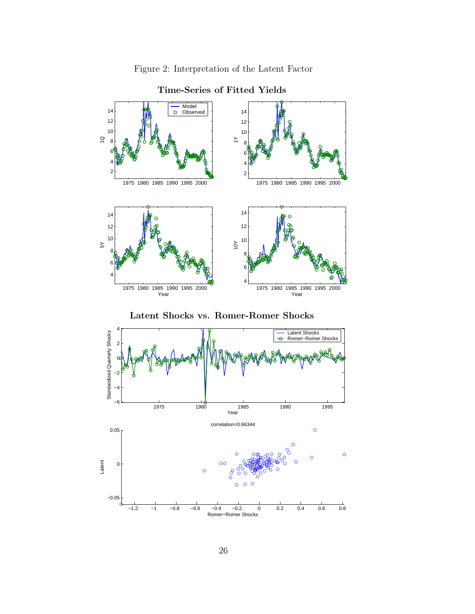



### Time-Series of Fitted Yields



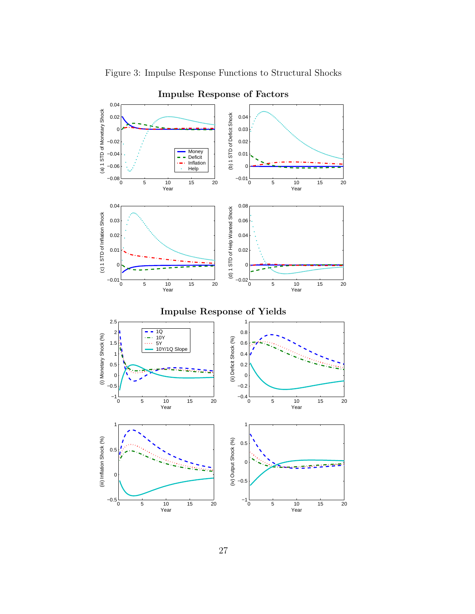

Figure 3: Impulse Response Functions to Structural Shocks